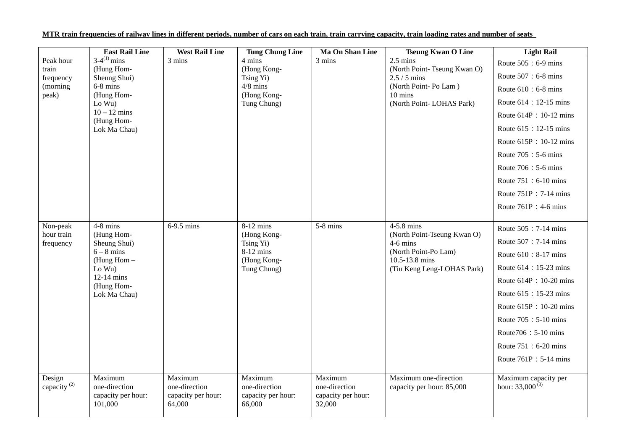|                                                      | <b>East Rail Line</b>                                                                                                                | <b>West Rail Line</b>                                    | <b>Tung Chung Line</b>                                                             | <b>Ma On Shan Line</b>                                   | <b>Tseung Kwan O Line</b>                                                                                                          | <b>Light Rail</b>                                                                                                                                                                                                                                                                                         |
|------------------------------------------------------|--------------------------------------------------------------------------------------------------------------------------------------|----------------------------------------------------------|------------------------------------------------------------------------------------|----------------------------------------------------------|------------------------------------------------------------------------------------------------------------------------------------|-----------------------------------------------------------------------------------------------------------------------------------------------------------------------------------------------------------------------------------------------------------------------------------------------------------|
| Peak hour<br>train<br>frequency<br>(morning<br>peak) | $3-4^{(1)}$ mins<br>(Hung Hom-<br>Sheung Shui)<br>$6-8$ mins<br>(Hung Hom-<br>Lo Wu)<br>$10 - 12$ mins<br>(Hung Hom-<br>Lok Ma Chau) | 3 mins                                                   | 4 mins<br>(Hong Kong-<br>Tsing Yi)<br>$4/8$ mins<br>(Hong Kong-<br>Tung Chung)     | 3 mins                                                   | $2.5 \text{ mins}$<br>(North Point-Tseung Kwan O)<br>$2.5 / 5$ mins<br>(North Point-Po Lam)<br>10 mins<br>(North Point-LOHAS Park) | Route 505: 6-9 mins<br>Route 507 : 6-8 mins<br>Route $610 : 6-8$ mins<br>Route 614 : 12-15 mins<br>Route 614P : 10-12 mins<br>Route 615: 12-15 mins<br>Route 615P: 10-12 mins<br>Route 705 : 5-6 mins<br>Route 706 : 5-6 mins<br>Route 751: 6-10 mins<br>Route 751P: 7-14 mins<br>Route $761P : 4-6$ mins |
| Non-peak<br>hour train<br>frequency                  | $4-8$ mins<br>(Hung Hom-<br>Sheung Shui)<br>$6 - 8$ mins<br>(Hung Hom $-$<br>Lo Wu)<br>12-14 mins<br>(Hung Hom-<br>Lok Ma Chau)      | 6-9.5 mins                                               | 8-12 mins<br>(Hong Kong-<br>Tsing Yi)<br>$8-12$ mins<br>(Hong Kong-<br>Tung Chung) | $5-8$ mins                                               | 4-5.8 mins<br>(North Point-Tseung Kwan O)<br>$4-6$ mins<br>(North Point-Po Lam)<br>10.5-13.8 mins<br>(Tiu Keng Leng-LOHAS Park)    | Route 505: 7-14 mins<br>Route 507 : 7-14 mins<br>Route 610 : 8-17 mins<br>Route 614 : 15-23 mins<br>Route 614P: 10-20 mins<br>Route 615 : 15-23 mins<br>Route 615P: 10-20 mins<br>Route 705: 5-10 mins<br>Route706: 5-10 mins<br>Route 751: 6-20 mins<br>Route 761P: 5-14 mins                            |
| Design<br>capacity <sup>(2)</sup>                    | Maximum<br>one-direction<br>capacity per hour:<br>101,000                                                                            | Maximum<br>one-direction<br>capacity per hour:<br>64,000 | Maximum<br>one-direction<br>capacity per hour:<br>66,000                           | Maximum<br>one-direction<br>capacity per hour:<br>32,000 | Maximum one-direction<br>capacity per hour: 85,000                                                                                 | Maximum capacity per<br>hour: $33,000^{(3)}$                                                                                                                                                                                                                                                              |

## **MTR train frequencies of railway lines in different periods, number of cars on each train, train carrying capacity, train loading rates and number of seats**